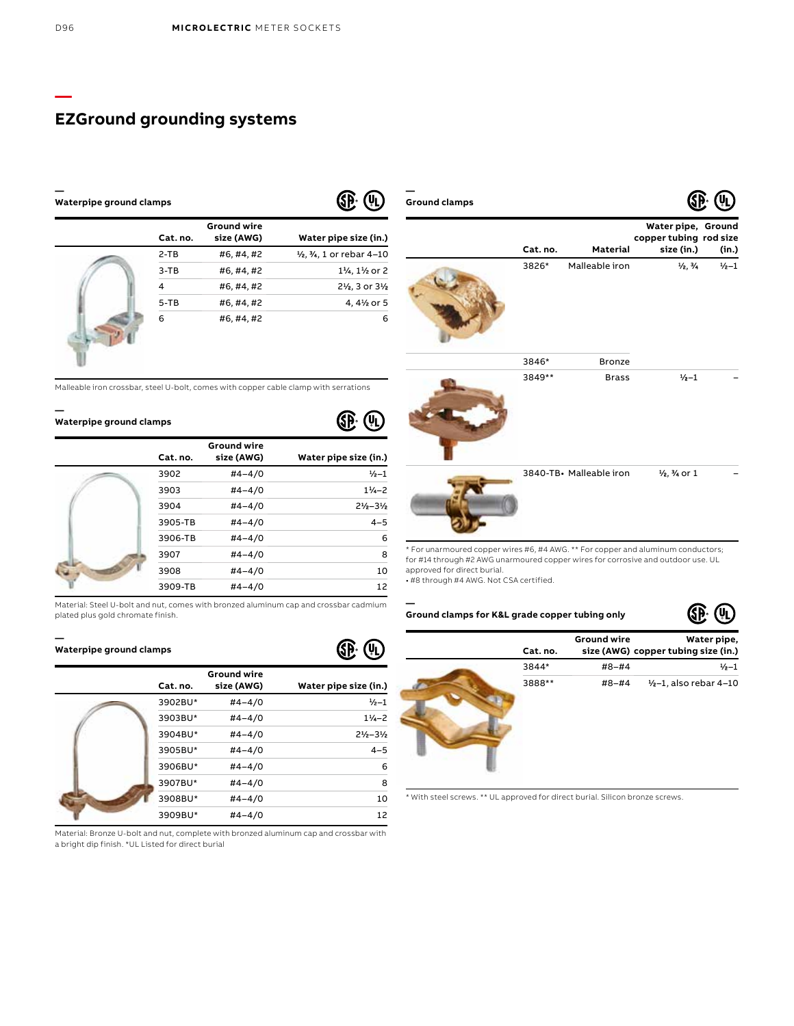#### **— Waterpipe ground clamps**

| Cat. no. | <b>Ground wire</b><br>size (AWG) | Water pipe size (in.)                                 |
|----------|----------------------------------|-------------------------------------------------------|
| $2-TB$   | #6,#4,#2                         | $\frac{1}{2}$ , $\frac{3}{4}$ , 1 or rebar 4-10       |
| $3-TB$   | #6, #4, #2                       | 11/ <sub>4</sub> , 11/ <sub>2</sub> or 2              |
| 4        | #6,#4,#2                         | 21/ <sub>2</sub> , 3 or 3 <sup>1</sup> / <sub>2</sub> |
| $5 - TB$ | #6,#4,#2                         | 4, 4½ or 5                                            |
| 6        | #6,#4,#2                         | 6                                                     |

Malleable iron crossbar, steel U-bolt, comes with copper cable clamp with serrations

#### **— Waterpipe ground clamps**

| Cat. no. | <b>Ground wire</b><br>size (AWG) | Water pipe size (in.)         |
|----------|----------------------------------|-------------------------------|
| 3902     | $#4 - 4/0$                       | $\frac{1}{2} - 1$             |
| 3903     | $#4 - 4/0$                       | $11 - 2$                      |
| 3904     | $#4 - 4/0$                       | $2\frac{1}{2} - 3\frac{1}{2}$ |
| 3905-TB  | $#4 - 4/0$                       | $4 - 5$                       |
| 3906-TB  | $#4 - 4/0$                       | 6                             |
| 3907     | $#4 - 4/0$                       | 8                             |
| 3908     | $#4 - 4/0$                       | 10                            |
| 3909-TB  | $#4 - 4/0$                       | 12                            |

Material: Steel U-bolt and nut, comes with bronzed aluminum cap and crossbar cadmium plated plus gold chromate finish.

#### **— Waterpipe ground clamps**

| Cat. no. | <b>Ground wire</b><br>size (AWG) | Water pipe size (in.)         |
|----------|----------------------------------|-------------------------------|
| 3902BU*  | $#4 - 4/0$                       | $1/2 - 1$                     |
| 3903BU*  | $#4 - 4/0$                       | $1\frac{1}{2}$ - 2            |
| 3904BU*  | $#4 - 4/0$                       | $2\frac{1}{2} - 3\frac{1}{2}$ |
| 3905BU*  | $#4 - 4/0$                       | $4 - 5$                       |
| 3906BU*  | $#4 - 4/0$                       | 6                             |
| 3907BU*  | $#4 - 4/0$                       | 8                             |
| 3908BU*  | $#4 - 4/0$                       | 10                            |
| 3909BU*  | $#4 - 4/0$                       | 12                            |

Material: Bronze U-bolt and nut, complete with bronzed aluminum cap and crossbar with a bright dip finish. \*UL Listed for direct burial

| Ground clamps |          |                         | N.                                                         | いり        |
|---------------|----------|-------------------------|------------------------------------------------------------|-----------|
|               | Cat. no. | Material                | Water pipe, Ground<br>copper tubing rod size<br>size (in.) | (in.)     |
|               | 3826*    | Malleable iron          | $\frac{1}{2}$ , $\frac{3}{4}$                              | $1/2 - 1$ |
|               | 3846*    | <b>Bronze</b>           |                                                            |           |
|               | 3849**   | <b>Brass</b>            | $1/2 - 1$                                                  |           |
|               |          | 3840-TB. Malleable iron | 1/2, 1/4 or 1                                              |           |

\* For unarmoured copper wires #6, #4 AWG. \*\* For copper and aluminum conductors; for #14 through #2 AWG unarmoured copper wires for corrosive and outdoor use. UL approved for direct burial.

• #8 through #4 AWG. Not CSA certified.

**—**

I

**Ground clamps for K&L grade copper tubing only**

| Cat. no. | <b>Ground wire</b> | Water pipe,<br>size (AWG) copper tubing size (in.) |
|----------|--------------------|----------------------------------------------------|
| 3844*    | $#8 - #4$          | $1/2 - 1$                                          |
| 3888**   | #8-#4              | $1/2 - 1$ , also rebar 4-10                        |

\* With steel screws. \*\* UL approved for direct burial. Silicon bronze screws.



**—**

# $(\Psi_L)$

**GP** 

**GP: 40** 



**—**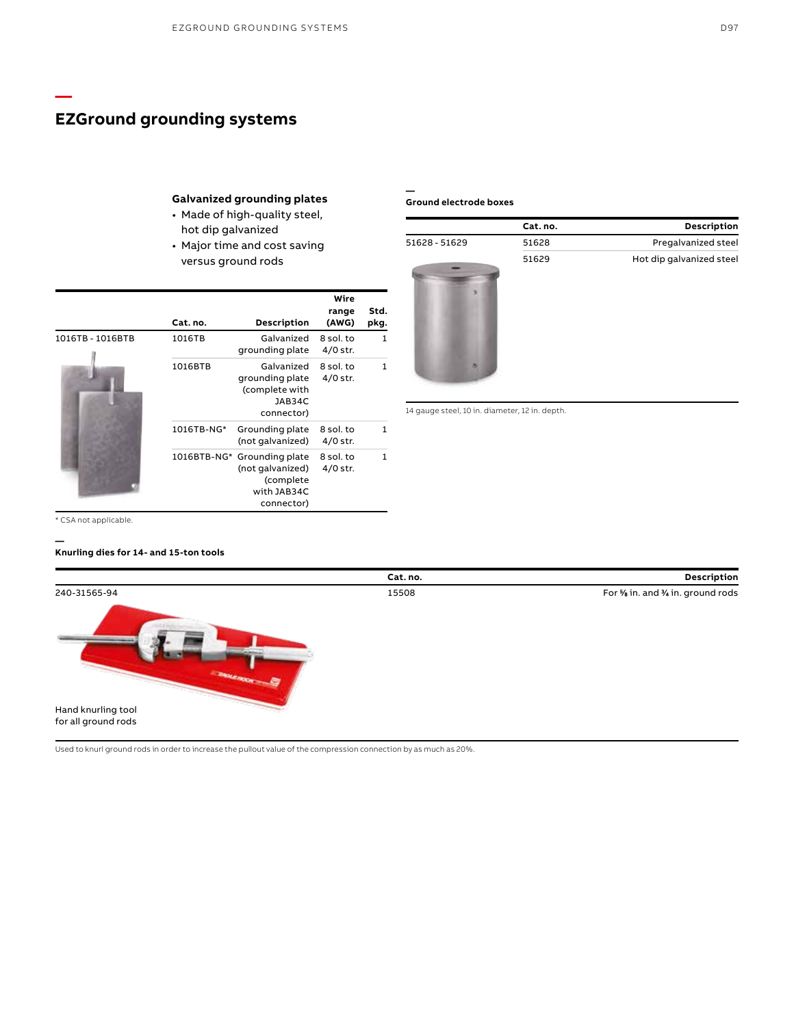## **Galvanized grounding plates**

- Made of high-quality steel, hot dip galvanized
- Major time and cost saving versus ground rods

|                  | Cat. no.   | Description                                                                               | Wire<br>range<br>(AWG)  | Std.<br>pkg. |
|------------------|------------|-------------------------------------------------------------------------------------------|-------------------------|--------------|
| 1016TB - 1016BTB | 1016TB     | Galvanized<br>grounding plate                                                             | 8 sol. to<br>$4/0$ str. | 1            |
|                  | 1016BTB    | Galvanized<br>grounding plate<br>(complete with<br>JAB34C<br>connector)                   | 8 sol. to<br>$4/0$ str. |              |
|                  | 1016TB-NG* | Grounding plate<br>(not galvanized)                                                       | 8 sol. to<br>$4/0$ str. |              |
|                  |            | 1016BTB-NG* Grounding plate<br>(not galvanized)<br>(complete<br>with JAB34C<br>connector) | 8 sol. to<br>$4/0$ str. | 1            |

#### **— Ground electrode boxes**

|               | Cat. no. | Description              |
|---------------|----------|--------------------------|
| 51628 - 51629 | 51628    | Pregalvanized steel      |
|               | 51629    | Hot dip galvanized steel |
|               |          |                          |

14 gauge steel, 10 in. diameter, 12 in. depth.

\* CSA not applicable.

**—**

**—**

#### **Knurling dies for 14- and 15-ton tools**



Used to knurl ground rods in order to increase the pullout value of the compression connection by as much as 20%.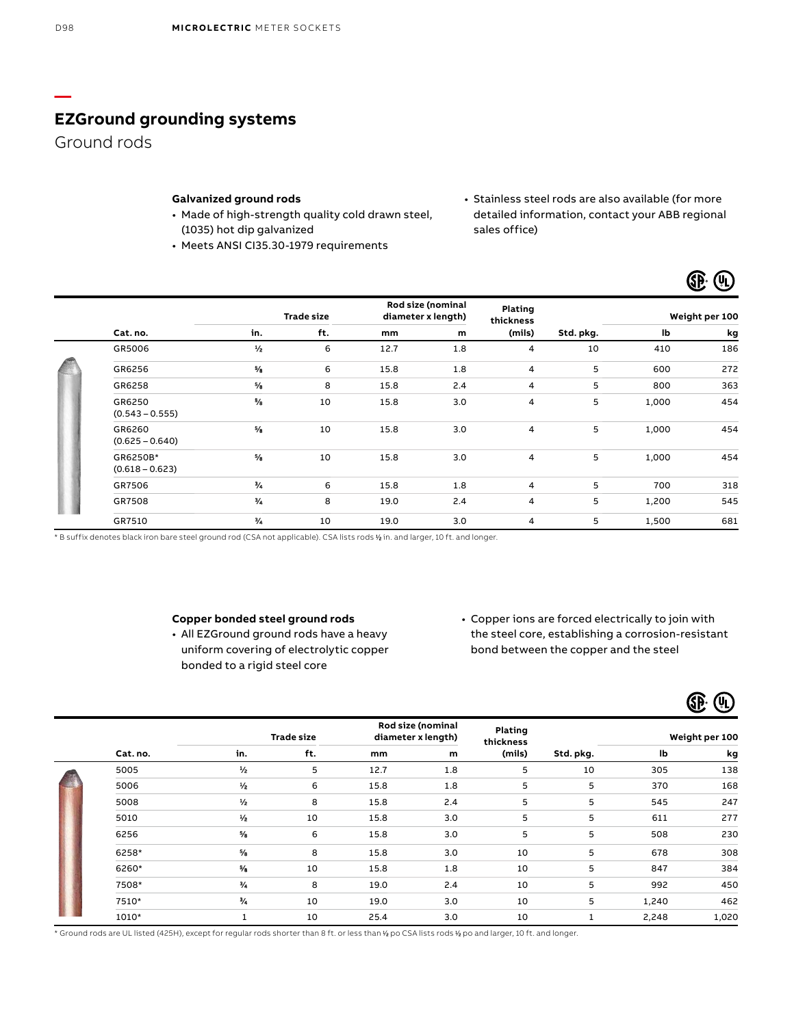Ground rods

## **Galvanized ground rods**

- Made of high-strength quality cold drawn steel, (1035) hot dip galvanized
- Meets ANSI CI35.30-1979 requirements
- Stainless steel rods are also available (for more detailed information, contact your ABB regional sales office)

 $\times$   $\odot$ 

|                               |               | <b>Trade size</b> |      | Rod size (nominal<br>diameter x length) | Plating<br>thickness |           |       | Weight per 100 |
|-------------------------------|---------------|-------------------|------|-----------------------------------------|----------------------|-----------|-------|----------------|
| Cat. no.                      | in.           | ft.               | mm   | m                                       | (mils)               | Std. pkg. | lb    | kg             |
| GR5006                        | $\frac{1}{2}$ | 6                 | 12.7 | 1.8                                     | 4                    | 10        | 410   | 186            |
| GR6256                        | %             | 6                 | 15.8 | 1.8                                     | 4                    | 5         | 600   | 272            |
| GR6258                        | $\frac{5}{2}$ | 8                 | 15.8 | 2.4                                     | 4                    | 5         | 800   | 363            |
| GR6250<br>$(0.543 - 0.555)$   | 5⁄8           | 10                | 15.8 | 3.0                                     | 4                    | 5         | 1,000 | 454            |
| GR6260<br>$(0.625 - 0.640)$   | $\frac{5}{6}$ | 10                | 15.8 | 3.0                                     | 4                    | 5         | 1,000 | 454            |
| GR6250B*<br>$(0.618 - 0.623)$ | $\frac{5}{6}$ | 10                | 15.8 | 3.0                                     | 4                    | 5         | 1,000 | 454            |
| GR7506                        | $\frac{3}{4}$ | 6                 | 15.8 | 1.8                                     | 4                    | 5         | 700   | 318            |
| GR7508                        | $\frac{3}{4}$ | 8                 | 19.0 | 2.4                                     | 4                    | 5         | 1,200 | 545            |
| GR7510                        | 3/4           | 10                | 19.0 | 3.0                                     | 4                    | 5         | 1,500 | 681            |

\* B suffix denotes black iron bare steel ground rod (CSA not applicable). CSA lists rods 1 ⁄2 in. and larger, 10 ft. and longer.

#### **Copper bonded steel ground rods**

- All EZGround ground rods have a heavy uniform covering of electrolytic copper bonded to a rigid steel core
- Copper ions are forced electrically to join with the steel core, establishing a corrosion-resistant bond between the copper and the steel

|          |               |                   |      |                                         |                      |           |       | (VL)           |
|----------|---------------|-------------------|------|-----------------------------------------|----------------------|-----------|-------|----------------|
|          |               | <b>Trade size</b> |      | Rod size (nominal<br>diameter x length) | Plating<br>thickness |           |       | Weight per 100 |
| Cat. no. | in.           | ft.               | mm   | m                                       | (mils)               | Std. pkg. | lb    | kg             |
| 5005     | $\frac{1}{2}$ | 5                 | 12.7 | 1.8                                     | 5                    | 10        | 305   | 138            |
| 5006     | $\frac{1}{2}$ | 6                 | 15.8 | 1.8                                     | 5                    | 5         | 370   | 168            |
| 5008     | $\frac{1}{2}$ | 8                 | 15.8 | 2.4                                     | 5                    | 5         | 545   | 247            |
| 5010     | $\frac{1}{2}$ | 10                | 15.8 | 3.0                                     | 5                    | 5         | 611   | 277            |
| 6256     | $\frac{5}{6}$ | 6                 | 15.8 | 3.0                                     | 5                    | 5         | 508   | 230            |
| 6258*    | $\frac{5}{3}$ | 8                 | 15.8 | 3.0                                     | 10                   | 5         | 678   | 308            |
| 6260*    | $5/3$         | 10                | 15.8 | 1.8                                     | 10                   | 5         | 847   | 384            |
| 7508*    | $\frac{3}{4}$ | 8                 | 19.0 | 2.4                                     | 10                   | 5         | 992   | 450            |
| 7510*    | $^{3}/_{4}$   | 10                | 19.0 | 3.0                                     | 10                   | 5         | 1,240 | 462            |
| 1010*    | $\mathbf{1}$  | 10                | 25.4 | 3.0                                     | 10                   | 1         | 2,248 | 1,020          |

\* Ground rods are UL listed (425H), except for regular rods shorter than 8 ft. or less than 1 ⁄2 po CSA lists rods 1 ⁄2 po and larger, 10 ft. and longer.

**—**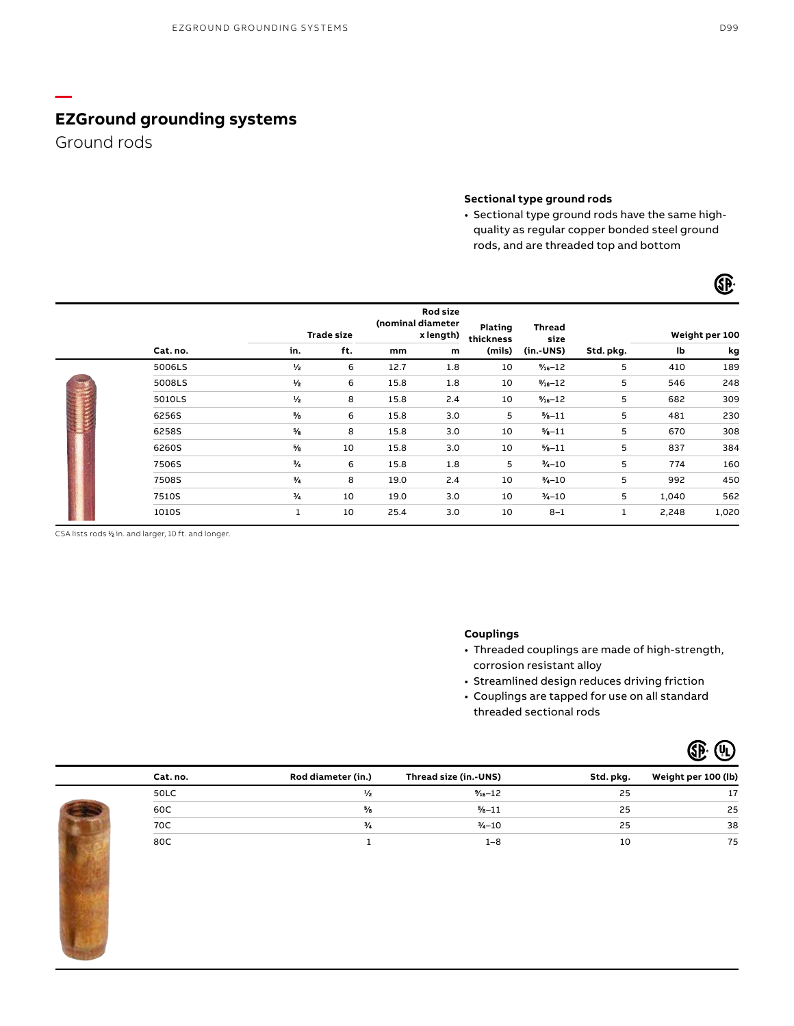Ground rods

**—**

### **Sectional type ground rods**

• Sectional type ground rods have the same highquality as regular copper bonded steel ground rods, and are threaded top and bottom

|  |          |               | <b>Trade size</b> |      | Rod size<br>(nominal diameter<br>x length) | <b>Plating</b><br>thickness | Thread<br>size      |           |       | Weight per 100 |
|--|----------|---------------|-------------------|------|--------------------------------------------|-----------------------------|---------------------|-----------|-------|----------------|
|  | Cat. no. | in.           | ft.               | mm   | m                                          | (mils)                      | $(in.-UNS)$         | Std. pkg. | lb    | kg             |
|  | 5006LS   | $\frac{1}{2}$ | 6                 | 12.7 | 1.8                                        | 10                          | $\frac{7}{16} - 12$ | 5         | 410   | 189            |
|  | 5008LS   | $\frac{1}{2}$ | 6                 | 15.8 | 1.8                                        | 10                          | $\frac{3}{16} - 12$ | 5         | 546   | 248            |
|  | 5010LS   | $\frac{1}{2}$ | 8                 | 15.8 | 2.4                                        | 10                          | $% -12$             | 5         | 682   | 309            |
|  | 6256S    | $\frac{5}{8}$ | 6                 | 15.8 | 3.0                                        | 5                           | $% -11$             | 5         | 481   | 230            |
|  | 6258S    | %             | 8                 | 15.8 | 3.0                                        | 10                          | $% -11$             | 5         | 670   | 308            |
|  | 6260S    | %             | 10                | 15.8 | 3.0                                        | 10                          | $% -11$             | 5         | 837   | 384            |
|  | 7506S    | $\frac{1}{4}$ | 6                 | 15.8 | 1.8                                        | 5                           | $3/4 - 10$          | 5         | 774   | 160            |
|  | 7508S    | $\frac{3}{4}$ | 8                 | 19.0 | 2.4                                        | 10                          | $\frac{3}{4} - 10$  | 5         | 992   | 450            |
|  | 7510S    | $\frac{1}{4}$ | 10                | 19.0 | 3.0                                        | 10                          | $\frac{3}{4} - 10$  | 5         | 1,040 | 562            |
|  | 1010S    | 1             | 10                | 25.4 | 3.0                                        | 10                          | $8 - 1$             | 1         | 2,248 | 1,020          |

CSA lists rods 1/2 in. and larger, 10 ft. and longer.

## **Couplings**

- Threaded couplings are made of high-strength, corrosion resistant alloy
- Streamlined design reduces driving friction
- Couplings are tapped for use on all standard threaded sectional rods



| Cat. no. | Rod diameter (in.) | Thread size (in.-UNS) | Std. pkg. | Weight per 100 (lb) |
|----------|--------------------|-----------------------|-----------|---------------------|
| 50LC     |                    | $1/6 - 12$            | 25        | 17                  |
| 60C      | %                  | $% -11$               | 25        | 25                  |
| 70C      | و/3                | $3/4 - 10$            | 25        | 38                  |
| 80C      |                    | 1-8                   | 10        | 75                  |

**GP**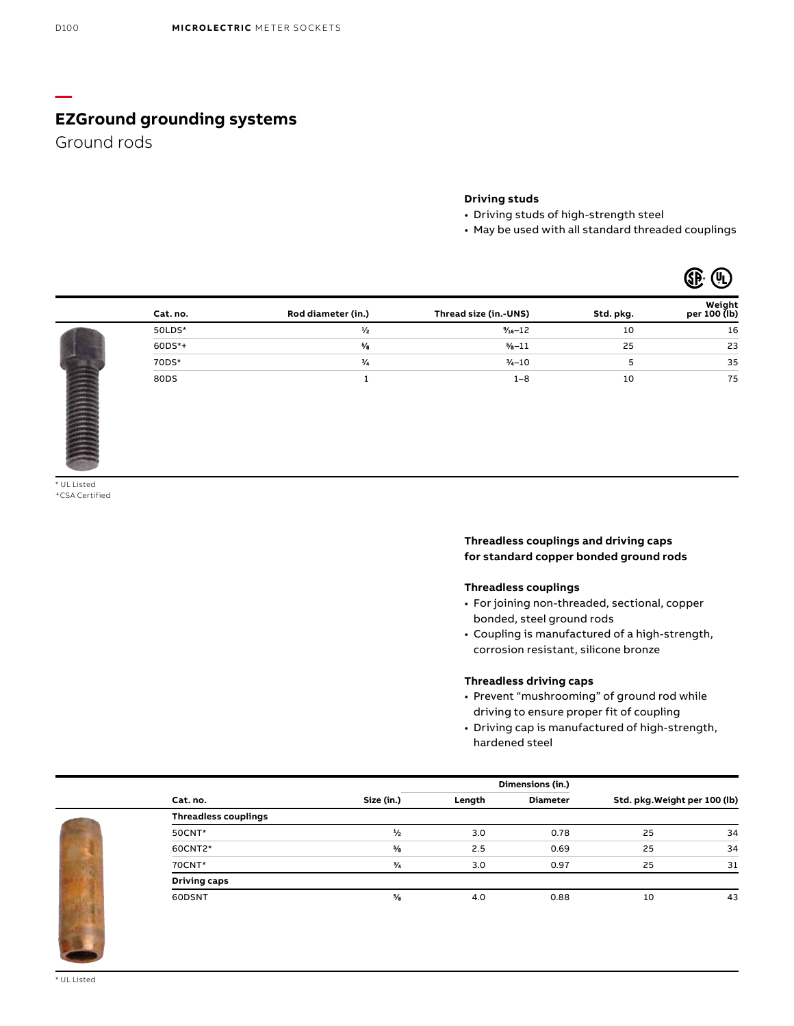Ground rods

**—**

### **Driving studs**

- Driving studs of high-strength steel
- May be used with all standard threaded couplings

 $\mathbb{G}$   $\mathbb{R}$   $\mathbb{Q}$ 

|             |          |                    |                       |           | --<br>ີ                |
|-------------|----------|--------------------|-----------------------|-----------|------------------------|
|             | Cat. no. | Rod diameter (in.) | Thread size (in.-UNS) | Std. pkg. | Weight<br>per 100 (lb) |
|             | 50LDS*   | $\frac{1}{2}$      | $%2 - 12$             | 10        | 16                     |
|             | $60DS*+$ | $\frac{5}{6}$      | $% -11$               | 25        | 23                     |
| <b>ANTI</b> | 70DS*    | $\frac{3}{4}$      | $1/4 - 10$            |           | 35                     |
|             | 80DS     |                    | $1 - 8$               | 10        | 75                     |

\* UL Listed +CSA Certified

## **Threadless couplings and driving caps for standard copper bonded ground rods**

#### **Threadless couplings**

- For joining non-threaded, sectional, copper bonded, steel ground rods
- Coupling is manufactured of a high-strength, corrosion resistant, silicone bronze

#### **Threadless driving caps**

- Prevent "mushrooming" of ground rod while driving to ensure proper fit of coupling
- Driving cap is manufactured of high-strength, hardened steel

|                             |               |        | Dimensions (in.) |                               |    |
|-----------------------------|---------------|--------|------------------|-------------------------------|----|
| Cat. no.                    | Size (in.)    | Length | <b>Diameter</b>  | Std. pkg. Weight per 100 (lb) |    |
| <b>Threadless couplings</b> |               |        |                  |                               |    |
| 50CNT*                      | $\frac{1}{2}$ | 3.0    | 0.78             | 25                            | 34 |
| 60CNT2*                     | $\frac{5}{6}$ | 2.5    | 0.69             | 25                            | 34 |
| 70CNT*                      | $\frac{3}{4}$ | 3.0    | 0.97             | 25                            | 31 |
| <b>Driving caps</b>         |               |        |                  |                               |    |
| 60DSNT                      | $\frac{5}{6}$ | 4.0    | 0.88             | 10                            | 43 |
|                             |               |        |                  |                               |    |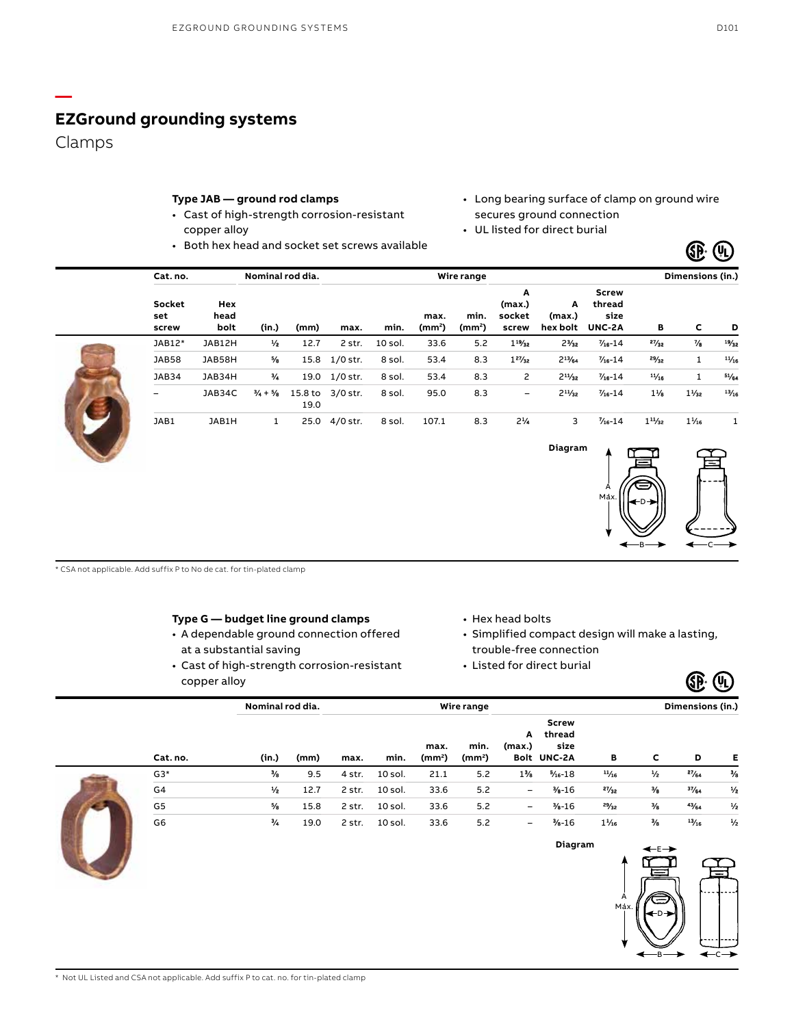Clamps

**—**

## **Type JAB — ground rod clamps**

- Cast of high-strength corrosion-resistant copper alloy
- Both hex head and socket set screws available
- Long bearing surface of clamp on ground wire secures ground connection
- UL listed for direct burial

|            | Dimensions (in.) |                |                                          |                         |                                | Wire range                 |                            |           |          |                 | Nominal rod dia.            | Cat. no.            |                        |
|------------|------------------|----------------|------------------------------------------|-------------------------|--------------------------------|----------------------------|----------------------------|-----------|----------|-----------------|-----------------------------|---------------------|------------------------|
| D          | c                | в              | <b>Screw</b><br>thread<br>size<br>UNC-2A | A<br>(max.)<br>hex bolt | A<br>(max.)<br>socket<br>screw | min.<br>(mm <sup>2</sup> ) | max.<br>(mm <sup>2</sup> ) | min.      | max.     | (mm)            | (in.)                       | Hex<br>head<br>bolt | Socket<br>set<br>screw |
| 19/32      | $\frac{7}{6}$    | 27/32          | $\frac{7}{6} - 14$                       | $2\frac{3}{2}$          | $1 - \frac{9}{2}$              | 5.2                        | 33.6                       | $10$ sol. | 2 str.   | 12.7            | $\frac{1}{2}$               | JAB12H              | JAB12*                 |
| $^{11/16}$ | 1                | 29/32          | $\frac{7}{6} - 14$                       | $2^{11}/a$              | $1^{27}/_{32}$                 | 8.3                        | 53.4                       | 8 sol.    | 1/0 str. | 15.8            | $\frac{5}{8}$               | JAB58H              | JAB58                  |
| 51/64      | 1                | $^{11}/_{16}$  | $\frac{7}{6} - 14$                       | $2^{11}/2$              | $\mathsf{2}$                   | 8.3                        | 53.4                       | 8 sol.    | 1/0 str. | 19.0            | $^{3}/_{4}$                 | JAB34H              | JAB34                  |
| $^{13/16}$ | $1\frac{1}{2}$   | $1\frac{1}{6}$ | $\frac{7}{6} - 14$                       | $2^{11}/22$             | -                              | 8.3                        | 95.0                       | 8 sol.    | 3/0 str. | 15.8 to<br>19.0 | $\frac{3}{4} + \frac{5}{8}$ | JAB34C              | -                      |
|            | $1\frac{1}{16}$  | $1^{11/32}$    | $\frac{7}{6} - 14$                       | 3                       | $2\frac{1}{4}$                 | 8.3                        | 107.1                      | 8 sol.    | 4/0 str. | 25.0            | 1                           | JAB1H               | JAB1                   |



 $_{\rm B}\rightarrow \leftarrow$ c

 $\times$   $\odot$ 

\* CSA not applicable. Add suffix P to No de cat. for tin-plated clamp

#### **Type G — budget line ground clamps**

- A dependable ground connection offered at a substantial saving
- Cast of high-strength corrosion-resistant copper alloy
- Hex head bolts
- Simplified compact design will make a lasting, trouble-free connection
- Listed for direct burial

|                | Nominal rod dia. |      |        |         |                            | Wire range                 |                              |                                               |                |               | Dimensions (in.) |               |
|----------------|------------------|------|--------|---------|----------------------------|----------------------------|------------------------------|-----------------------------------------------|----------------|---------------|------------------|---------------|
| Cat. no.       | (in.)            | (mm) | max.   | min.    | max.<br>(mm <sup>2</sup> ) | min.<br>(mm <sup>2</sup> ) | A<br>(max.)                  | <b>Screw</b><br>thread<br>size<br>Bolt UNC-2A | в              | c             | D                | Е             |
| $G3*$          | $\frac{3}{6}$    | 9.5  | 4 str. | 10 sol. | 21.1                       | 5.2                        | $1\%$                        | $% -18$                                       | $^{11}/16$     | $\frac{1}{2}$ | 27/64            | $\frac{3}{4}$ |
| G4             | $\frac{1}{2}$    | 12.7 | 2 str. | 10 sol. | 33.6                       | 5.2                        | Ξ.                           | $-16$                                         | 27/32          | $\frac{3}{8}$ | 37/64            | $\frac{1}{2}$ |
| G <sub>5</sub> | $\frac{5}{6}$    | 15.8 | 2 str. | 10 sol. | 33.6                       | 5.2                        | $\qquad \qquad \blacksquare$ | $% -16$                                       | 29/32          | $\frac{3}{2}$ | $4\frac{1}{64}$  | $\frac{1}{2}$ |
| G6             | ₩                | 19.0 | 2 str. | 10 sol. | 33.6                       | 5.2                        | $\qquad \qquad \blacksquare$ | $% -16$                                       | $1\frac{1}{5}$ | $\frac{3}{6}$ | $^{13/15}$       | $\frac{1}{2}$ |
|                |                  |      |        |         |                            |                            |                              | Diagram                                       |                | ✦モ→           |                  |               |
|                |                  |      |        |         |                            |                            |                              |                                               |                | ⋿             |                  |               |
|                |                  |      |        |         |                            |                            |                              |                                               |                |               |                  | Ξ             |
|                |                  |      |        |         |                            |                            |                              |                                               | A<br>Max.      | $\equiv$      | $\cdot$          | .             |
|                |                  |      |        |         |                            |                            |                              |                                               |                | ⊷⊳            |                  |               |

 $\times$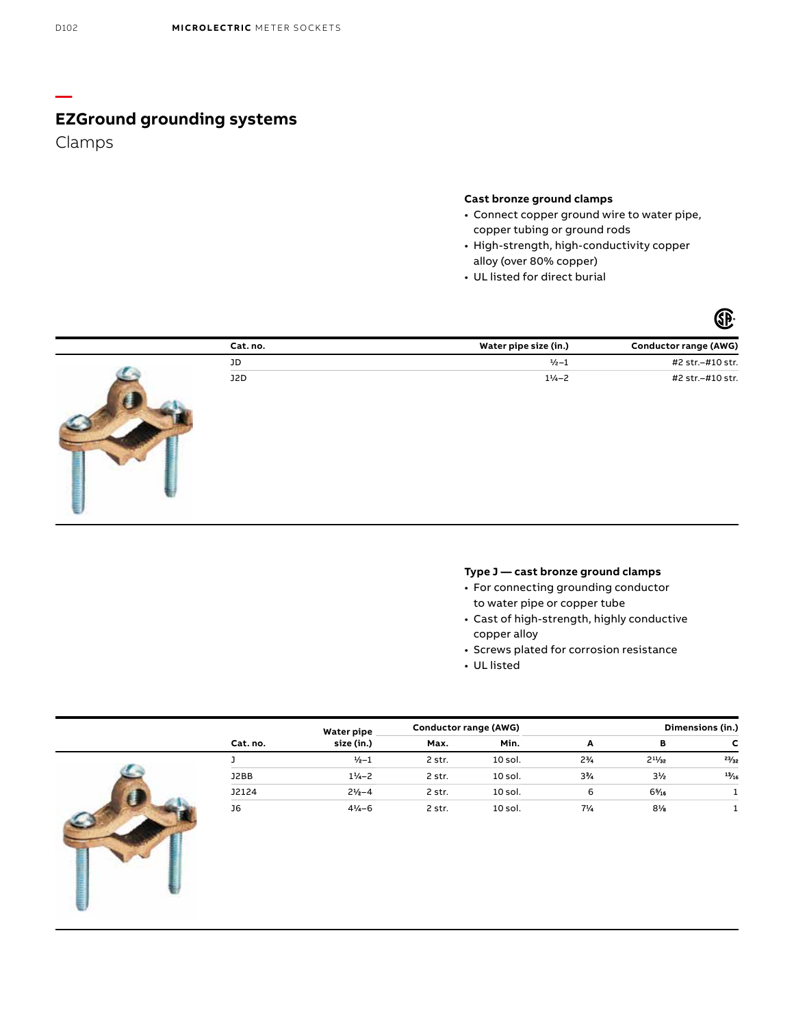Clamps

### **Cast bronze ground clamps**

- Connect copper ground wire to water pipe, copper tubing or ground rods
- High-strength, high-conductivity copper alloy (over 80% copper)
- UL listed for direct burial



| Cat. no. | Water pipe size (in.) | Conductor range (AWG) |
|----------|-----------------------|-----------------------|
| JD       | $\frac{1}{2} - 1$     | #2 str.-#10 str.      |
| J2D      | $1^{1}/_{4}-2$        | #2 str.-#10 str.      |

## **Type J — cast bronze ground clamps**

- For connecting grounding conductor to water pipe or copper tube
- Cast of high-strength, highly conductive copper alloy
- Screws plated for corrosion resistance
- UL listed

|          | Water pipe         | Conductor range (AWG) |           |                | Dimensions (in.) |       |
|----------|--------------------|-----------------------|-----------|----------------|------------------|-------|
| Cat. no. | size (in.)         | Max.                  | Min.      | A              | в                |       |
|          | $1/2 - 1$          | 2 str.                | 10 sol.   | $2\frac{1}{4}$ | $2^{11}/2$       | 23/2  |
| J2BB     | $1\frac{1}{2}$ - 2 | 2 str.                | 10 sol.   | $3\frac{1}{4}$ | $3\frac{1}{2}$   | 13/16 |
| J2124    | $21/2-4$           | 2 str.                | $10$ sol. | 6              | $6\frac{5}{16}$  |       |
| J6       | $4\frac{1}{4} - 6$ | 2 str.                | $10$ sol. | $7\frac{1}{4}$ | $8\%$            |       |

**—**